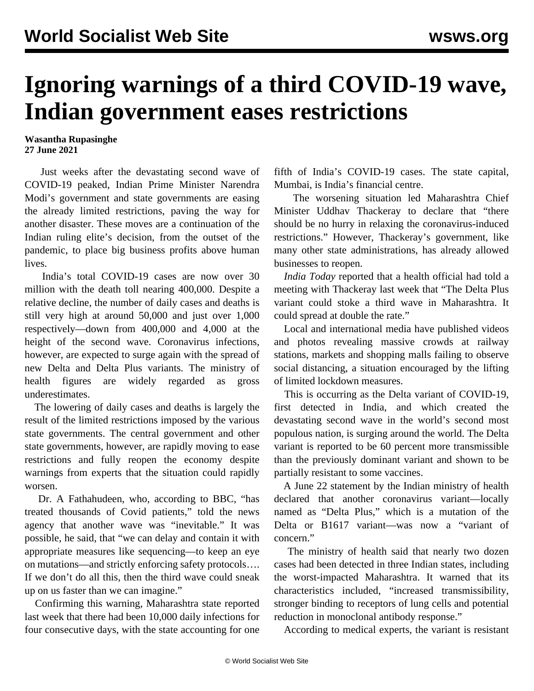## **Ignoring warnings of a third COVID-19 wave, Indian government eases restrictions**

## **Wasantha Rupasinghe 27 June 2021**

 Just weeks after the devastating second wave of COVID-19 peaked, Indian Prime Minister Narendra Modi's government and state governments are easing the already limited restrictions, paving the way for another disaster. These moves are a continuation of the Indian ruling elite's decision, from the outset of the pandemic, to place big business profits above human lives.

 India's total COVID-19 cases are now over 30 million with the death toll nearing 400,000. Despite a relative decline, the number of daily cases and deaths is still very high at around 50,000 and just over 1,000 respectively—down from 400,000 and 4,000 at the height of the second wave. Coronavirus infections, however, are expected to surge again with the spread of new Delta and Delta Plus variants. The ministry of health figures are widely regarded as gross underestimates.

 The lowering of daily cases and deaths is largely the result of the limited restrictions imposed by the various state governments. The central government and other state governments, however, are rapidly moving to ease restrictions and fully reopen the economy despite warnings from experts that the situation could rapidly worsen.

 Dr. A Fathahudeen, who, according to BBC, "has treated thousands of Covid patients," told the news agency that another wave was "inevitable." It was possible, he said, that "we can delay and contain it with appropriate measures like sequencing—to keep an eye on mutations—and strictly enforcing safety protocols…. If we don't do all this, then the third wave could sneak up on us faster than we can imagine."

 Confirming this warning, Maharashtra state reported last week that there had been 10,000 daily infections for four consecutive days, with the state accounting for one fifth of India's COVID-19 cases. The state capital, Mumbai, is India's financial centre.

 The worsening situation led Maharashtra Chief Minister Uddhav Thackeray to declare that "there should be no hurry in relaxing the coronavirus-induced restrictions." However, Thackeray's government, like many other state administrations, has already allowed businesses to reopen.

 *India Today* reported that a health official had told a meeting with Thackeray last week that "The Delta Plus variant could stoke a third wave in Maharashtra. It could spread at double the rate."

 Local and international media have published videos and photos revealing massive crowds at railway stations, markets and shopping malls failing to observe social distancing, a situation encouraged by the lifting of limited lockdown measures.

 This is occurring as the Delta variant of COVID-19, first detected in India, and which created the devastating second wave in the world's second most populous nation, is surging around the world. The Delta variant is reported to be 60 percent more transmissible than the previously dominant variant and shown to be partially resistant to some vaccines.

 A June 22 statement by the Indian ministry of health declared that another coronavirus variant—locally named as "Delta Plus," which is a mutation of the Delta or B1617 variant—was now a "variant of concern."

 The ministry of health said that nearly two dozen cases had been detected in three Indian states, including the worst-impacted Maharashtra. It warned that its characteristics included, "increased transmissibility, stronger binding to receptors of lung cells and potential reduction in monoclonal antibody response."

According to medical experts, the variant is resistant